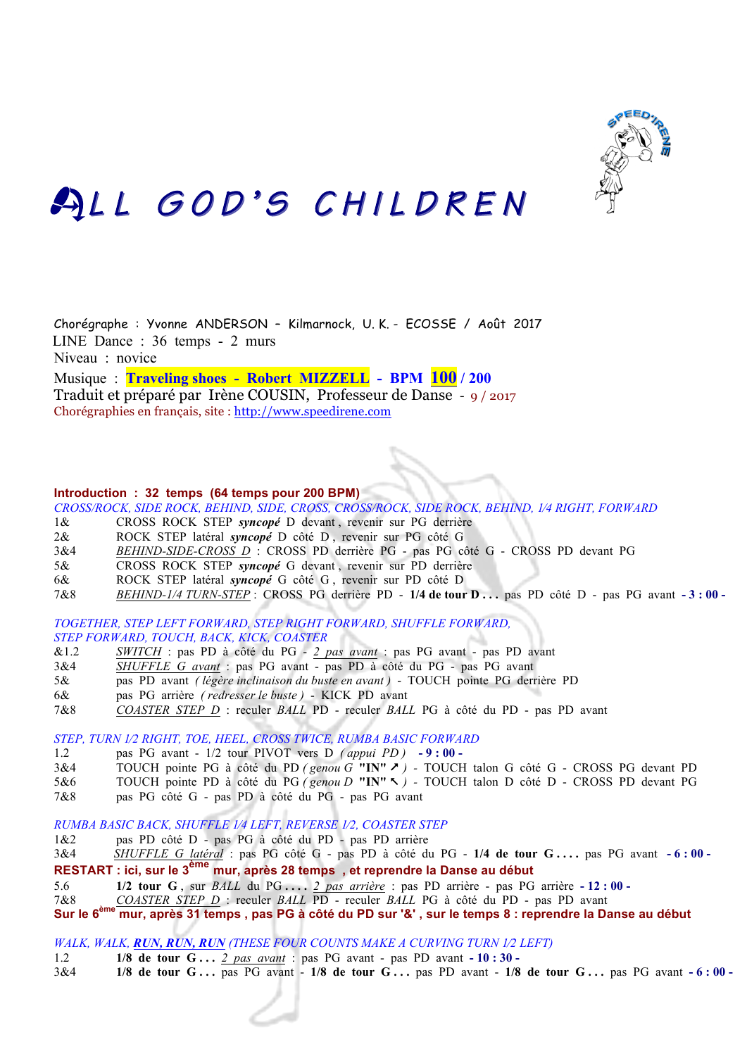

# ALL GOD'S CHILDREN

Chorégraphe : Yvonne ANDERSON – Kilmarnock, U. K. - ECOSSE / Août 2017 LINE Dance : 36 temps - 2 murs Niveau : novice Musique : **Traveling shoes - Robert MIZZELL - BPM 100 / 200**

Traduit et préparé par Irène COUSIN, Professeur de Danse - 9 / 2017 Chorégraphies en français, site : http://www.speedirene.com

#### **Introduction : 32 temps (64 temps pour 200 BPM)**

*CROSS/ROCK, SIDE ROCK, BEHIND, SIDE, CROSS, CROSS/ROCK, SIDE ROCK, BEHIND, 1⁄4 RIGHT, FORWARD*

- 1& CROSS ROCK STEP *syncopé* D devant , revenir sur PG derrière
- 2& ROCK STEP latéral *syncopé* D côté D , revenir sur PG côté G
- 3&4 *BEHIND-SIDE-CROSS D* : CROSS PD derrière PG pas PG côté G CROSS PD devant PG
- 5& CROSS ROCK STEP *syncopé* G devant , revenir sur PD derrière
- 6& ROCK STEP latéral *syncopé* G côté G , revenir sur PD côté D
- 7&8 *BEHIND-1/4 TURN-STEP* :CROSS PG derrière PD **1/4 de tour D . . .** pas PD côté D pas PG avant **- 3 : 00**

*TOGETHER, STEP LEFT FORWARD, STEP RIGHT FORWARD, SHUFFLE FORWARD, STEP FORWARD, TOUCH, BACK, KICK, COASTER*

- &1.2 *SWITCH* : pas PD à côté du PG *2 pas avant* : pas PG avant pas PD avant
- 3&4 *SHUFFLE G avant* : pas PG avant pas PD à côté du PG pas PG avant
- 5& pas PD avant *( légère inclinaison du buste en avant )*  TOUCH pointe PG derrière PD
- 6& pas PG arrière *( redresser le buste )*  KICK PD avant
- 7&8 *COASTER STEP D* : reculer *BALL* PD reculer *BALL* PG à côté du PD pas PD avant

*STEP, TURN 1⁄2 RIGHT, TOE, HEEL, CROSS TWICE, RUMBA BASIC FORWARD*

- 1.2 pas PG avant 1/2 tour PIVOT vers D *( appui PD )* **- 9 : 00**
- 3&4 TOUCH pointe PG à côté du PD *( genou G* **"IN"** & *)* TOUCH talon G côté G CROSS PG devant PD
- 5&6 TOUCH pointe PD à côté du PG *( genou D* **"IN"** % *)* TOUCH talon D côté D CROSS PD devant PG
- 7&8 pas PG côté G pas PD à côté du PG pas PG avant

*RUMBA BASIC BACK, SHUFFLE 1⁄4 LEFT, REVERSE 1⁄2, COASTER STEP*

- 1&2 pas PD côté D pas PG à côté du PD pas PD arrière
- 3&4 *SHUFFLE G latéral* : pas PG côté G pas PD à côté du PG **1/4 de tour G . . . .** pas PG avant **- 6 : 00 RESTART : ici, sur le 3ème mur, après 28 temps , et reprendre la Danse au début**
- 5.6 **1/2 tour G** , sur *BALL* du PG **. . . .** *2 pas arrière* : pas PD arrière pas PG arrière **- 12 : 00**
- 7&8 *COASTER STEP D* : reculer *BALL* PD reculer *BALL* PG à côté du PD pas PD avant
- **Sur le 6ème mur, après 31 temps , pas PG à côté du PD sur '&' , sur le temps 8 : reprendre la Danse au début**

*WALK, WALK, RUN, RUN, RUN (THESE FOUR COUNTS MAKE A CURVING TURN 1⁄2 LEFT)*

- 1.2 **1/8 de tour G . . .** *2 pas avant* : pas PG avant pas PD avant **- 10 : 30 -**
- 3&4 **1/8 de tour G . . .** pas PG avant **1/8 de tour G . . .** pas PD avant **1/8 de tour G . . .** pas PG avant **- 6 : 00**